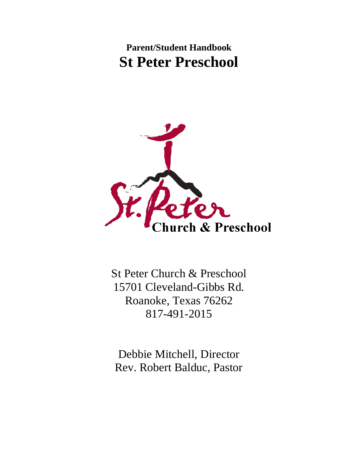**Parent/Student Handbook St Peter Preschool**



St Peter Church & Preschool 15701 Cleveland-Gibbs Rd. Roanoke, Texas 76262 817-491-2015

Debbie Mitchell, Director Rev. Robert Balduc, Pastor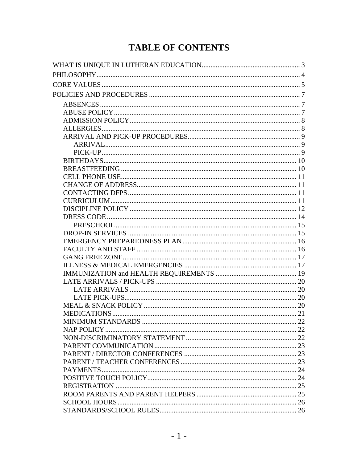# **TABLE OF CONTENTS**

| NAP POLICY |  |
|------------|--|
|            |  |
|            |  |
|            |  |
|            |  |
|            |  |
|            |  |
|            |  |
|            |  |
|            |  |
|            |  |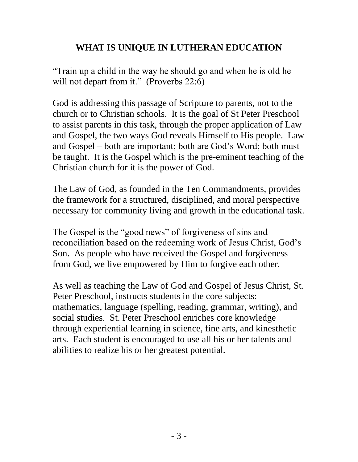#### **WHAT IS UNIQUE IN LUTHERAN EDUCATION**

<span id="page-3-0"></span>"Train up a child in the way he should go and when he is old he will not depart from it." (Proverbs 22:6)

God is addressing this passage of Scripture to parents, not to the church or to Christian schools. It is the goal of St Peter Preschool to assist parents in this task, through the proper application of Law and Gospel, the two ways God reveals Himself to His people. Law and Gospel – both are important; both are God's Word; both must be taught. It is the Gospel which is the pre-eminent teaching of the Christian church for it is the power of God.

The Law of God, as founded in the Ten Commandments, provides the framework for a structured, disciplined, and moral perspective necessary for community living and growth in the educational task.

The Gospel is the "good news" of forgiveness of sins and reconciliation based on the redeeming work of Jesus Christ, God's Son. As people who have received the Gospel and forgiveness from God, we live empowered by Him to forgive each other.

As well as teaching the Law of God and Gospel of Jesus Christ, St. Peter Preschool, instructs students in the core subjects: mathematics, language (spelling, reading, grammar, writing), and social studies. St. Peter Preschool enriches core knowledge through experiential learning in science, fine arts, and kinesthetic arts. Each student is encouraged to use all his or her talents and abilities to realize his or her greatest potential.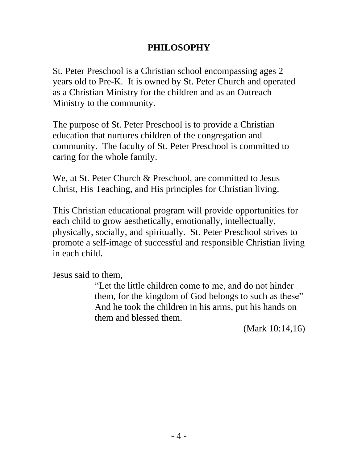#### **PHILOSOPHY**

<span id="page-4-0"></span>St. Peter Preschool is a Christian school encompassing ages 2 years old to Pre-K. It is owned by St. Peter Church and operated as a Christian Ministry for the children and as an Outreach Ministry to the community.

The purpose of St. Peter Preschool is to provide a Christian education that nurtures children of the congregation and community. The faculty of St. Peter Preschool is committed to caring for the whole family.

We, at St. Peter Church & Preschool, are committed to Jesus Christ, His Teaching, and His principles for Christian living.

This Christian educational program will provide opportunities for each child to grow aesthetically, emotionally, intellectually, physically, socially, and spiritually. St. Peter Preschool strives to promote a self-image of successful and responsible Christian living in each child.

Jesus said to them,

"Let the little children come to me, and do not hinder them, for the kingdom of God belongs to such as these" And he took the children in his arms, put his hands on them and blessed them.

(Mark 10:14,16)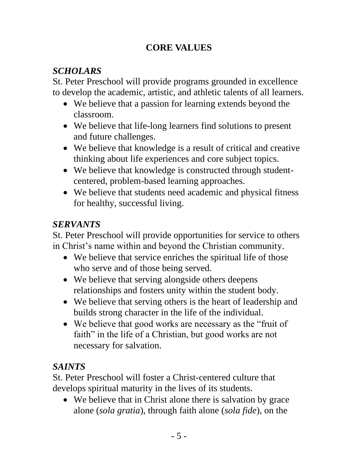## **CORE VALUES**

## <span id="page-5-0"></span>*SCHOLARS*

St. Peter Preschool will provide programs grounded in excellence to develop the academic, artistic, and athletic talents of all learners.

- We believe that a passion for learning extends beyond the classroom.
- We believe that life-long learners find solutions to present and future challenges.
- We believe that knowledge is a result of critical and creative thinking about life experiences and core subject topics.
- We believe that knowledge is constructed through studentcentered, problem-based learning approaches.
- We believe that students need academic and physical fitness for healthy, successful living.

### *SERVANTS*

St. Peter Preschool will provide opportunities for service to others in Christ's name within and beyond the Christian community.

- We believe that service enriches the spiritual life of those who serve and of those being served.
- We believe that serving alongside others deepens relationships and fosters unity within the student body.
- We believe that serving others is the heart of leadership and builds strong character in the life of the individual.
- We believe that good works are necessary as the "fruit of faith" in the life of a Christian, but good works are not necessary for salvation.

## *SAINTS*

St. Peter Preschool will foster a Christ-centered culture that develops spiritual maturity in the lives of its students.

• We believe that in Christ alone there is salvation by grace alone (*sola gratia*), through faith alone (*sola fide*), on the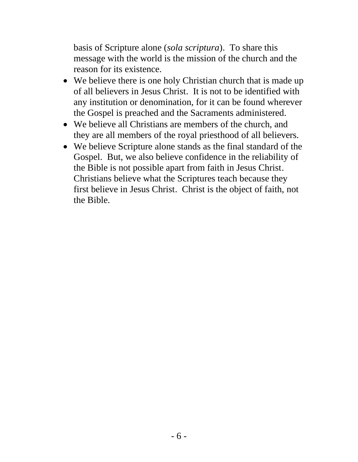basis of Scripture alone (*sola scriptura*). To share this message with the world is the mission of the church and the reason for its existence.

- We believe there is one holy Christian church that is made up of all believers in Jesus Christ. It is not to be identified with any institution or denomination, for it can be found wherever the Gospel is preached and the Sacraments administered.
- We believe all Christians are members of the church, and they are all members of the royal priesthood of all believers.
- We believe Scripture alone stands as the final standard of the Gospel. But, we also believe confidence in the reliability of the Bible is not possible apart from faith in Jesus Christ. Christians believe what the Scriptures teach because they first believe in Jesus Christ. Christ is the object of faith, not the Bible.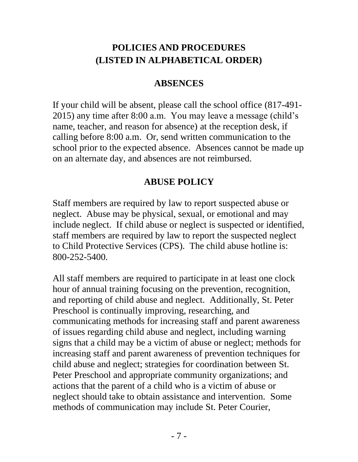#### <span id="page-7-0"></span>**POLICIES AND PROCEDURES (LISTED IN ALPHABETICAL ORDER)**

#### **ABSENCES**

<span id="page-7-1"></span>If your child will be absent, please call the school office (817-491- 2015) any time after 8:00 a.m. You may leave a message (child's name, teacher, and reason for absence) at the reception desk, if calling before 8:00 a.m. Or, send written communication to the school prior to the expected absence. Absences cannot be made up on an alternate day, and absences are not reimbursed.

#### **ABUSE POLICY**

<span id="page-7-2"></span>Staff members are required by law to report suspected abuse or neglect. Abuse may be physical, sexual, or emotional and may include neglect. If child abuse or neglect is suspected or identified, staff members are required by law to report the suspected neglect to Child Protective Services (CPS). The child abuse hotline is: 800-252-5400.

All staff members are required to participate in at least one clock hour of annual training focusing on the prevention, recognition, and reporting of child abuse and neglect. Additionally, St. Peter Preschool is continually improving, researching, and communicating methods for increasing staff and parent awareness of issues regarding child abuse and neglect, including warning signs that a child may be a victim of abuse or neglect; methods for increasing staff and parent awareness of prevention techniques for child abuse and neglect; strategies for coordination between St. Peter Preschool and appropriate community organizations; and actions that the parent of a child who is a victim of abuse or neglect should take to obtain assistance and intervention. Some methods of communication may include St. Peter Courier,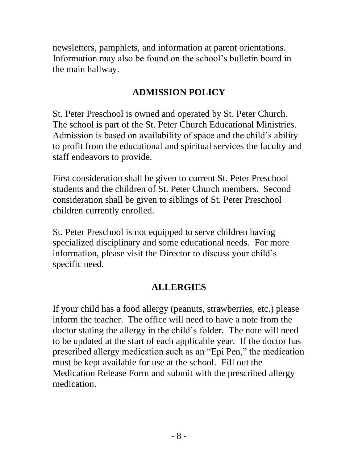newsletters, pamphlets, and information at parent orientations. Information may also be found on the school's bulletin board in the main hallway.

#### **ADMISSION POLICY**

<span id="page-8-0"></span>St. Peter Preschool is owned and operated by St. Peter Church. The school is part of the St. Peter Church Educational Ministries. Admission is based on availability of space and the child's ability to profit from the educational and spiritual services the faculty and staff endeavors to provide.

First consideration shall be given to current St. Peter Preschool students and the children of St. Peter Church members. Second consideration shall be given to siblings of St. Peter Preschool children currently enrolled.

St. Peter Preschool is not equipped to serve children having specialized disciplinary and some educational needs. For more information, please visit the Director to discuss your child's specific need.

#### **ALLERGIES**

<span id="page-8-1"></span>If your child has a food allergy (peanuts, strawberries, etc.) please inform the teacher. The office will need to have a note from the doctor stating the allergy in the child's folder. The note will need to be updated at the start of each applicable year. If the doctor has prescribed allergy medication such as an "Epi Pen," the medication must be kept available for use at the school. Fill out the Medication Release Form and submit with the prescribed allergy medication.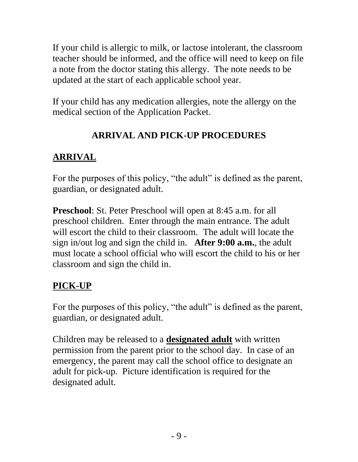If your child is allergic to milk, or lactose intolerant, the classroom teacher should be informed, and the office will need to keep on file a note from the doctor stating this allergy. The note needs to be updated at the start of each applicable school year.

If your child has any medication allergies, note the allergy on the medical section of the Application Packet.

## **ARRIVAL AND PICK-UP PROCEDURES**

# <span id="page-9-1"></span><span id="page-9-0"></span>**ARRIVAL**

For the purposes of this policy, "the adult" is defined as the parent, guardian, or designated adult.

**Preschool**: St. Peter Preschool will open at 8:45 a.m. for all preschool children. Enter through the main entrance. The adult will escort the child to their classroom. The adult will locate the sign in/out log and sign the child in. **After 9:00 a.m.**, the adult must locate a school official who will escort the child to his or her classroom and sign the child in.

# <span id="page-9-2"></span>**PICK-UP**

For the purposes of this policy, "the adult" is defined as the parent, guardian, or designated adult.

Children may be released to a **designated adult** with written permission from the parent prior to the school day. In case of an emergency, the parent may call the school office to designate an adult for pick-up. Picture identification is required for the designated adult.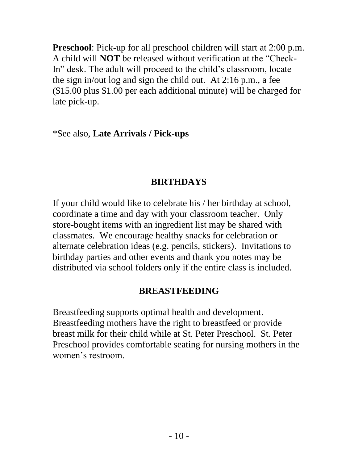**Preschool:** Pick-up for all preschool children will start at 2:00 p.m. A child will **NOT** be released without verification at the "Check-In" desk. The adult will proceed to the child's classroom, locate the sign in/out log and sign the child out. At 2:16 p.m., a fee (\$15.00 plus \$1.00 per each additional minute) will be charged for late pick-up.

<span id="page-10-0"></span>\*See also, **Late Arrivals / Pick-ups**

### **BIRTHDAYS**

If your child would like to celebrate his / her birthday at school, coordinate a time and day with your classroom teacher. Only store-bought items with an ingredient list may be shared with classmates. We encourage healthy snacks for celebration or alternate celebration ideas (e.g. pencils, stickers). Invitations to birthday parties and other events and thank you notes may be distributed via school folders only if the entire class is included.

### **BREASTFEEDING**

<span id="page-10-1"></span>Breastfeeding supports optimal health and development. Breastfeeding mothers have the right to breastfeed or provide breast milk for their child while at St. Peter Preschool. St. Peter Preschool provides comfortable seating for nursing mothers in the women's restroom.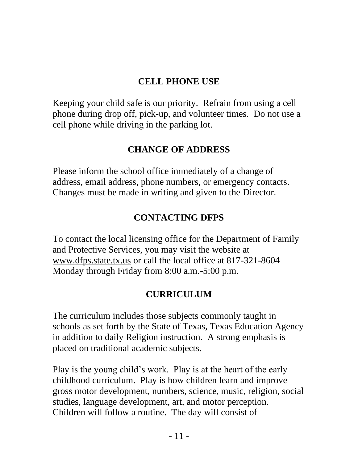#### **CELL PHONE USE**

<span id="page-11-0"></span>Keeping your child safe is our priority. Refrain from using a cell phone during drop off, pick-up, and volunteer times. Do not use a cell phone while driving in the parking lot.

#### **CHANGE OF ADDRESS**

<span id="page-11-1"></span>Please inform the school office immediately of a change of address, email address, phone numbers, or emergency contacts. Changes must be made in writing and given to the Director.

#### **CONTACTING DFPS**

<span id="page-11-2"></span>To contact the local licensing office for the Department of Family and Protective Services, you may visit the website at [www.dfps.state.tx.us](http://www.dfps.state.tx.us/) or call the local office at 817-321-8604 Monday through Friday from 8:00 a.m.-5:00 p.m.

### **CURRICULUM**

<span id="page-11-3"></span>The curriculum includes those subjects commonly taught in schools as set forth by the State of Texas, Texas Education Agency in addition to daily Religion instruction. A strong emphasis is placed on traditional academic subjects.

Play is the young child's work. Play is at the heart of the early childhood curriculum. Play is how children learn and improve gross motor development, numbers, science, music, religion, social studies, language development, art, and motor perception. Children will follow a routine. The day will consist of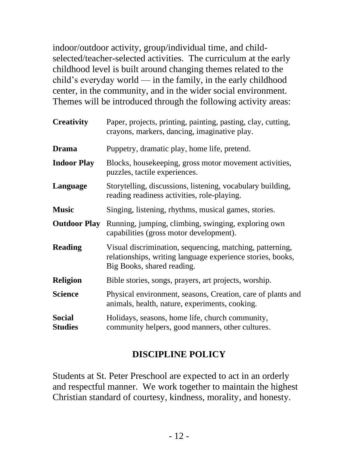indoor/outdoor activity, group/individual time, and childselected/teacher-selected activities. The curriculum at the early childhood level is built around changing themes related to the child's everyday world — in the family, in the early childhood center, in the community, and in the wider social environment. Themes will be introduced through the following activity areas:

| <b>Creativity</b>               | Paper, projects, printing, painting, pasting, clay, cutting,<br>crayons, markers, dancing, imaginative play.                                         |  |  |  |
|---------------------------------|------------------------------------------------------------------------------------------------------------------------------------------------------|--|--|--|
| <b>Drama</b>                    | Puppetry, dramatic play, home life, pretend.                                                                                                         |  |  |  |
| <b>Indoor Play</b>              | Blocks, housekeeping, gross motor movement activities,<br>puzzles, tactile experiences.                                                              |  |  |  |
| Language                        | Storytelling, discussions, listening, vocabulary building,<br>reading readiness activities, role-playing.                                            |  |  |  |
| <b>Music</b>                    | Singing, listening, rhythms, musical games, stories.                                                                                                 |  |  |  |
| <b>Outdoor Play</b>             | Running, jumping, climbing, swinging, exploring own<br>capabilities (gross motor development).                                                       |  |  |  |
| <b>Reading</b>                  | Visual discrimination, sequencing, matching, patterning,<br>relationships, writing language experience stories, books,<br>Big Books, shared reading. |  |  |  |
| <b>Religion</b>                 | Bible stories, songs, prayers, art projects, worship.                                                                                                |  |  |  |
| <b>Science</b>                  | Physical environment, seasons, Creation, care of plants and<br>animals, health, nature, experiments, cooking.                                        |  |  |  |
| <b>Social</b><br><b>Studies</b> | Holidays, seasons, home life, church community,<br>community helpers, good manners, other cultures.                                                  |  |  |  |

#### **DISCIPLINE POLICY**

<span id="page-12-0"></span>Students at St. Peter Preschool are expected to act in an orderly and respectful manner. We work together to maintain the highest Christian standard of courtesy, kindness, morality, and honesty.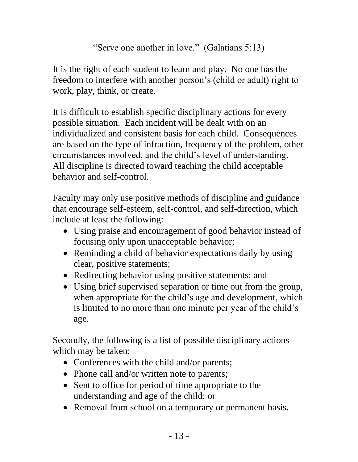```
"Serve one another in love." (Galatians 5:13)
```
It is the right of each student to learn and play. No one has the freedom to interfere with another person's (child or adult) right to work, play, think, or create.

It is difficult to establish specific disciplinary actions for every possible situation. Each incident will be dealt with on an individualized and consistent basis for each child. Consequences are based on the type of infraction, frequency of the problem, other circumstances involved, and the child's level of understanding. All discipline is directed toward teaching the child acceptable behavior and self-control.

Faculty may only use positive methods of discipline and guidance that encourage self-esteem, self-control, and self-direction, which include at least the following:

- Using praise and encouragement of good behavior instead of focusing only upon unacceptable behavior;
- Reminding a child of behavior expectations daily by using clear, positive statements;
- Redirecting behavior using positive statements; and
- Using brief supervised separation or time out from the group, when appropriate for the child's age and development, which is limited to no more than one minute per year of the child's age.

Secondly, the following is a list of possible disciplinary actions which may be taken:

- Conferences with the child and/or parents;
- Phone call and/or written note to parents;
- Sent to office for period of time appropriate to the understanding and age of the child; or
- Removal from school on a temporary or permanent basis.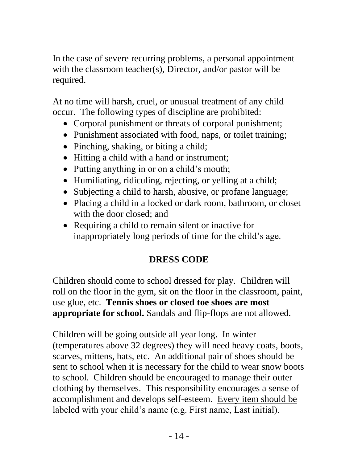In the case of severe recurring problems, a personal appointment with the classroom teacher(s), Director, and/or pastor will be required.

At no time will harsh, cruel, or unusual treatment of any child occur. The following types of discipline are prohibited:

- Corporal punishment or threats of corporal punishment;
- Punishment associated with food, naps, or toilet training;
- Pinching, shaking, or biting a child;
- Hitting a child with a hand or instrument;
- Putting anything in or on a child's mouth;
- Humiliating, ridiculing, rejecting, or yelling at a child;
- Subjecting a child to harsh, abusive, or profane language;
- Placing a child in a locked or dark room, bathroom, or closet with the door closed; and
- Requiring a child to remain silent or inactive for inappropriately long periods of time for the child's age.

### **DRESS CODE**

<span id="page-14-0"></span>Children should come to school dressed for play. Children will roll on the floor in the gym, sit on the floor in the classroom, paint, use glue, etc. **Tennis shoes or closed toe shoes are most appropriate for school.** Sandals and flip-flops are not allowed.

Children will be going outside all year long. In winter (temperatures above 32 degrees) they will need heavy coats, boots, scarves, mittens, hats, etc. An additional pair of shoes should be sent to school when it is necessary for the child to wear snow boots to school. Children should be encouraged to manage their outer clothing by themselves. This responsibility encourages a sense of accomplishment and develops self-esteem. Every item should be labeled with your child's name (e.g. First name, Last initial).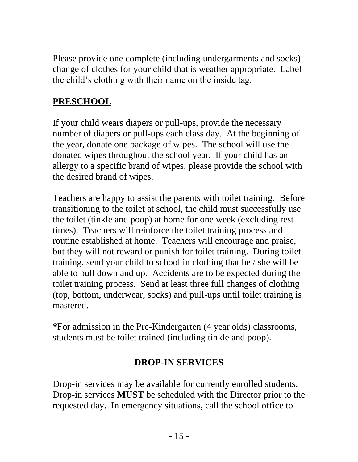Please provide one complete (including undergarments and socks) change of clothes for your child that is weather appropriate. Label the child's clothing with their name on the inside tag.

### <span id="page-15-0"></span>**PRESCHOOL**

If your child wears diapers or pull-ups, provide the necessary number of diapers or pull-ups each class day. At the beginning of the year, donate one package of wipes. The school will use the donated wipes throughout the school year. If your child has an allergy to a specific brand of wipes, please provide the school with the desired brand of wipes.

Teachers are happy to assist the parents with toilet training. Before transitioning to the toilet at school, the child must successfully use the toilet (tinkle and poop) at home for one week (excluding rest times). Teachers will reinforce the toilet training process and routine established at home. Teachers will encourage and praise, but they will not reward or punish for toilet training. During toilet training, send your child to school in clothing that he / she will be able to pull down and up. Accidents are to be expected during the toilet training process. Send at least three full changes of clothing (top, bottom, underwear, socks) and pull-ups until toilet training is mastered.

**\***For admission in the Pre-Kindergarten (4 year olds) classrooms, students must be toilet trained (including tinkle and poop).

#### **DROP-IN SERVICES**

<span id="page-15-1"></span>Drop-in services may be available for currently enrolled students. Drop-in services **MUST** be scheduled with the Director prior to the requested day. In emergency situations, call the school office to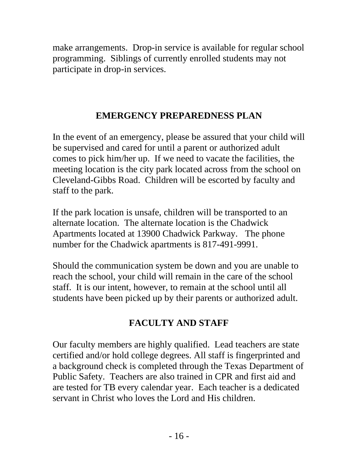make arrangements. Drop-in service is available for regular school programming. Siblings of currently enrolled students may not participate in drop-in services.

#### **EMERGENCY PREPAREDNESS PLAN**

<span id="page-16-0"></span>In the event of an emergency, please be assured that your child will be supervised and cared for until a parent or authorized adult comes to pick him/her up. If we need to vacate the facilities, the meeting location is the city park located across from the school on Cleveland-Gibbs Road. Children will be escorted by faculty and staff to the park.

If the park location is unsafe, children will be transported to an alternate location. The alternate location is the Chadwick Apartments located at 13900 Chadwick Parkway. The phone number for the Chadwick apartments is 817-491-9991.

Should the communication system be down and you are unable to reach the school, your child will remain in the care of the school staff. It is our intent, however, to remain at the school until all students have been picked up by their parents or authorized adult.

## **FACULTY AND STAFF**

<span id="page-16-1"></span>Our faculty members are highly qualified. Lead teachers are state certified and/or hold college degrees. All staff is fingerprinted and a background check is completed through the Texas Department of Public Safety. Teachers are also trained in CPR and first aid and are tested for TB every calendar year. Each teacher is a dedicated servant in Christ who loves the Lord and His children.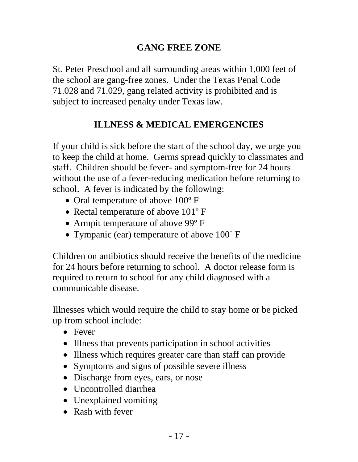#### **GANG FREE ZONE**

<span id="page-17-0"></span>St. Peter Preschool and all surrounding areas within 1,000 feet of the school are gang-free zones. Under the Texas Penal Code 71.028 and 71.029, gang related activity is prohibited and is subject to increased penalty under Texas law.

#### **ILLNESS & MEDICAL EMERGENCIES**

<span id="page-17-1"></span>If your child is sick before the start of the school day, we urge you to keep the child at home. Germs spread quickly to classmates and staff. Children should be fever- and symptom-free for 24 hours without the use of a fever-reducing medication before returning to school. A fever is indicated by the following:

- Oral temperature of above  $100^{\circ}$  F
- Rectal temperature of above 101<sup>°</sup> F
- Armpit temperature of above 99° F
- Tympanic (ear) temperature of above 100 F

Children on antibiotics should receive the benefits of the medicine for 24 hours before returning to school. A doctor release form is required to return to school for any child diagnosed with a communicable disease.

Illnesses which would require the child to stay home or be picked up from school include:

- Fever
- Illness that prevents participation in school activities
- Illness which requires greater care than staff can provide
- Symptoms and signs of possible severe illness
- Discharge from eyes, ears, or nose
- Uncontrolled diarrhea
- Unexplained vomiting
- Rash with fever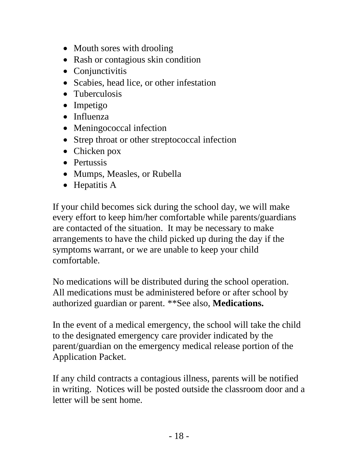- Mouth sores with drooling
- Rash or contagious skin condition
- Conjunctivitis
- Scabies, head lice, or other infestation
- Tuberculosis
- Impetigo
- Influenza
- Meningococcal infection
- Strep throat or other streptococcal infection
- Chicken pox
- Pertussis
- Mumps, Measles, or Rubella
- Hepatitis A

If your child becomes sick during the school day, we will make every effort to keep him/her comfortable while parents/guardians are contacted of the situation. It may be necessary to make arrangements to have the child picked up during the day if the symptoms warrant, or we are unable to keep your child comfortable.

No medications will be distributed during the school operation. All medications must be administered before or after school by authorized guardian or parent. \*\*See also, **Medications.**

In the event of a medical emergency, the school will take the child to the designated emergency care provider indicated by the parent/guardian on the emergency medical release portion of the Application Packet.

If any child contracts a contagious illness, parents will be notified in writing. Notices will be posted outside the classroom door and a letter will be sent home.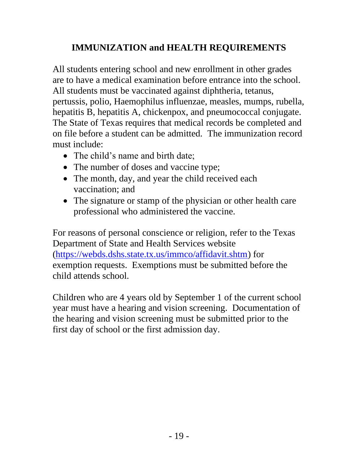### <span id="page-19-0"></span>**IMMUNIZATION and HEALTH REQUIREMENTS**

All students entering school and new enrollment in other grades are to have a medical examination before entrance into the school. All students must be vaccinated against diphtheria, tetanus, pertussis, polio, Haemophilus influenzae, measles, mumps, rubella, hepatitis B, hepatitis A, chickenpox, and pneumococcal conjugate. The State of Texas requires that medical records be completed and on file before a student can be admitted. The immunization record must include:

- The child's name and birth date;
- The number of doses and vaccine type;
- The month, day, and year the child received each vaccination; and
- The signature or stamp of the physician or other health care professional who administered the vaccine.

For reasons of personal conscience or religion, refer to the Texas Department of State and Health Services website [\(https://webds.dshs.state.tx.us/immco/affidavit.shtm\)](https://webds.dshs.state.tx.us/immco/affidavit.shtm) for exemption requests. Exemptions must be submitted before the child attends school.

Children who are 4 years old by September 1 of the current school year must have a hearing and vision screening. Documentation of the hearing and vision screening must be submitted prior to the first day of school or the first admission day.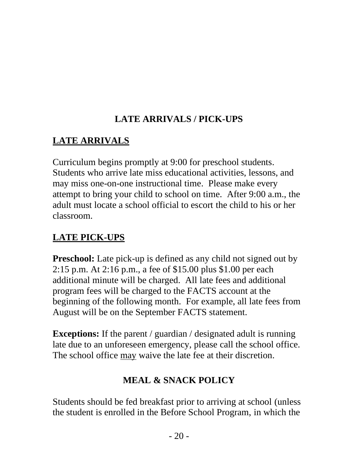## **LATE ARRIVALS / PICK-UPS**

### <span id="page-20-1"></span><span id="page-20-0"></span>**LATE ARRIVALS**

Curriculum begins promptly at 9:00 for preschool students. Students who arrive late miss educational activities, lessons, and may miss one-on-one instructional time. Please make every attempt to bring your child to school on time. After 9:00 a.m., the adult must locate a school official to escort the child to his or her classroom.

### <span id="page-20-2"></span>**LATE PICK-UPS**

**Preschool:** Late pick-up is defined as any child not signed out by 2:15 p.m. At 2:16 p.m., a fee of \$15.00 plus \$1.00 per each additional minute will be charged. All late fees and additional program fees will be charged to the FACTS account at the beginning of the following month. For example, all late fees from August will be on the September FACTS statement.

**Exceptions:** If the parent / guardian / designated adult is running late due to an unforeseen emergency, please call the school office. The school office may waive the late fee at their discretion.

### **MEAL & SNACK POLICY**

<span id="page-20-3"></span>Students should be fed breakfast prior to arriving at school (unless the student is enrolled in the Before School Program, in which the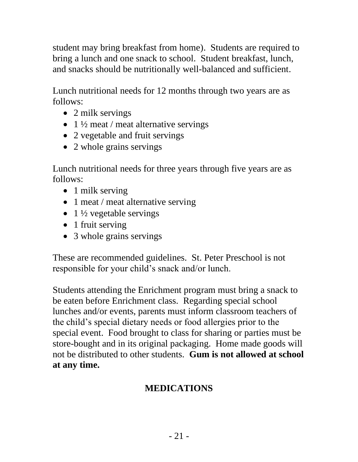student may bring breakfast from home). Students are required to bring a lunch and one snack to school. Student breakfast, lunch, and snacks should be nutritionally well-balanced and sufficient.

Lunch nutritional needs for 12 months through two years are as follows:

- 2 milk servings
- 1  $\frac{1}{2}$  meat / meat alternative servings
- 2 vegetable and fruit servings
- 2 whole grains servings

Lunch nutritional needs for three years through five years are as follows:

- 1 milk serving
- 1 meat / meat alternative serving
- 1  $\frac{1}{2}$  vegetable servings
- 1 fruit serving
- 3 whole grains servings

These are recommended guidelines. St. Peter Preschool is not responsible for your child's snack and/or lunch.

Students attending the Enrichment program must bring a snack to be eaten before Enrichment class. Regarding special school lunches and/or events, parents must inform classroom teachers of the child's special dietary needs or food allergies prior to the special event. Food brought to class for sharing or parties must be store-bought and in its original packaging. Home made goods will not be distributed to other students. **Gum is not allowed at school at any time.**

### <span id="page-21-0"></span>**MEDICATIONS**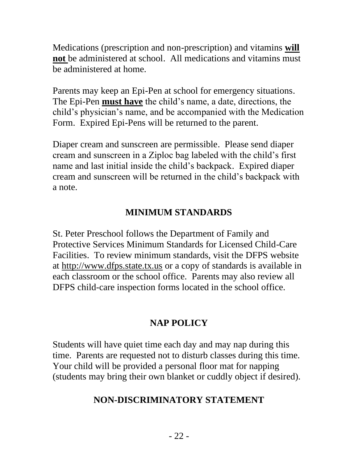Medications (prescription and non-prescription) and vitamins **will not** be administered at school. All medications and vitamins must be administered at home.

Parents may keep an Epi-Pen at school for emergency situations. The Epi-Pen **must have** the child's name, a date, directions, the child's physician's name, and be accompanied with the Medication Form. Expired Epi-Pens will be returned to the parent.

Diaper cream and sunscreen are permissible. Please send diaper cream and sunscreen in a Ziploc bag labeled with the child's first name and last initial inside the child's backpack. Expired diaper cream and sunscreen will be returned in the child's backpack with a note.

#### **MINIMUM STANDARDS**

<span id="page-22-0"></span>St. Peter Preschool follows the Department of Family and Protective Services Minimum Standards for Licensed Child-Care Facilities. To review minimum standards, visit the DFPS website at [http://www.dfps.state.tx.us](http://www.dfps.state.tx.us/) or a copy of standards is available in each classroom or the school office. Parents may also review all DFPS child-care inspection forms located in the school office.

### **NAP POLICY**

<span id="page-22-1"></span>Students will have quiet time each day and may nap during this time. Parents are requested not to disturb classes during this time. Your child will be provided a personal floor mat for napping (students may bring their own blanket or cuddly object if desired).

### <span id="page-22-2"></span>**NON-DISCRIMINATORY STATEMENT**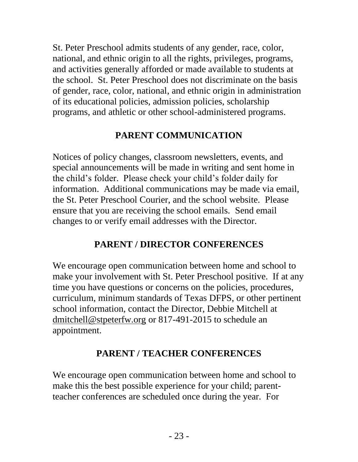St. Peter Preschool admits students of any gender, race, color, national, and ethnic origin to all the rights, privileges, programs, and activities generally afforded or made available to students at the school. St. Peter Preschool does not discriminate on the basis of gender, race, color, national, and ethnic origin in administration of its educational policies, admission policies, scholarship programs, and athletic or other school-administered programs.

#### **PARENT COMMUNICATION**

<span id="page-23-0"></span>Notices of policy changes, classroom newsletters, events, and special announcements will be made in writing and sent home in the child's folder. Please check your child's folder daily for information. Additional communications may be made via email, the St. Peter Preschool Courier, and the school website. Please ensure that you are receiving the school emails. Send email changes to or verify email addresses with the Director.

#### **PARENT / DIRECTOR CONFERENCES**

<span id="page-23-1"></span>We encourage open communication between home and school to make your involvement with St. Peter Preschool positive. If at any time you have questions or concerns on the policies, procedures, curriculum, minimum standards of Texas DFPS, or other pertinent school information, contact the Director, Debbie Mitchell at dmitchell@stpeterfw.org or 817-491-2015 to schedule an appointment.

### **PARENT / TEACHER CONFERENCES**

<span id="page-23-2"></span>We encourage open communication between home and school to make this the best possible experience for your child; parentteacher conferences are scheduled once during the year. For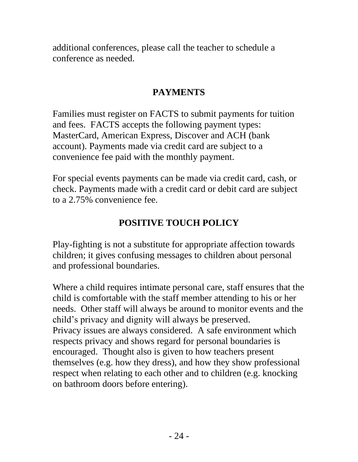<span id="page-24-0"></span>additional conferences, please call the teacher to schedule a conference as needed.

#### **PAYMENTS**

Families must register on FACTS to submit payments for tuition and fees. FACTS accepts the following payment types: MasterCard, American Express, Discover and ACH (bank account). Payments made via credit card are subject to a convenience fee paid with the monthly payment.

For special events payments can be made via credit card, cash, or check. Payments made with a credit card or debit card are subject to a 2.75% convenience fee.

#### **POSITIVE TOUCH POLICY**

<span id="page-24-1"></span>Play-fighting is not a substitute for appropriate affection towards children; it gives confusing messages to children about personal and professional boundaries.

Where a child requires intimate personal care, staff ensures that the child is comfortable with the staff member attending to his or her needs. Other staff will always be around to monitor events and the child's privacy and dignity will always be preserved. Privacy issues are always considered. A safe environment which respects privacy and shows regard for personal boundaries is encouraged. Thought also is given to how teachers present themselves (e.g. how they dress), and how they show professional respect when relating to each other and to children (e.g. knocking on bathroom doors before entering).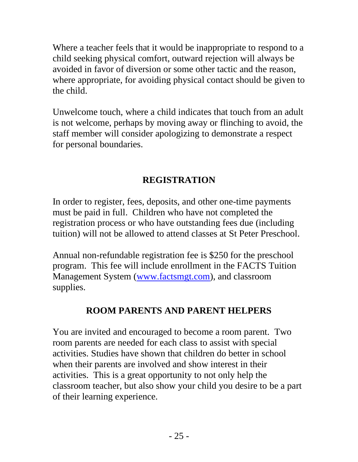Where a teacher feels that it would be inappropriate to respond to a child seeking physical comfort, outward rejection will always be avoided in favor of diversion or some other tactic and the reason, where appropriate, for avoiding physical contact should be given to the child.

Unwelcome touch, where a child indicates that touch from an adult is not welcome, perhaps by moving away or flinching to avoid, the staff member will consider apologizing to demonstrate a respect for personal boundaries.

### **REGISTRATION**

<span id="page-25-0"></span>In order to register, fees, deposits, and other one-time payments must be paid in full. Children who have not completed the registration process or who have outstanding fees due (including tuition) will not be allowed to attend classes at St Peter Preschool.

Annual non-refundable registration fee is \$250 for the preschool program. This fee will include enrollment in the FACTS Tuition Management System [\(www.factsmgt.com\)](http://www.factsmgt.com/), and classroom supplies.

## **ROOM PARENTS AND PARENT HELPERS**

<span id="page-25-1"></span>You are invited and encouraged to become a room parent. Two room parents are needed for each class to assist with special activities. Studies have shown that children do better in school when their parents are involved and show interest in their activities. This is a great opportunity to not only help the classroom teacher, but also show your child you desire to be a part of their learning experience.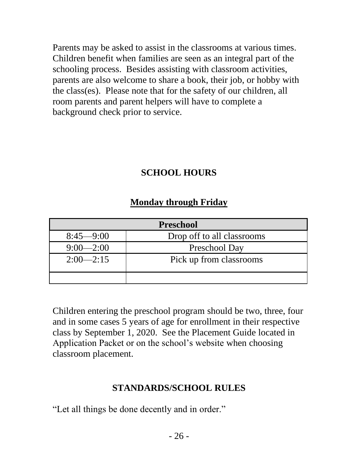Parents may be asked to assist in the classrooms at various times. Children benefit when families are seen as an integral part of the schooling process. Besides assisting with classroom activities, parents are also welcome to share a book, their job, or hobby with the class(es). Please note that for the safety of our children, all room parents and parent helpers will have to complete a background check prior to service.

#### <span id="page-26-0"></span>**SCHOOL HOURS**

#### **Monday through Friday**

| <b>Preschool</b> |                            |  |  |
|------------------|----------------------------|--|--|
| $8:45 - 9:00$    | Drop off to all classrooms |  |  |
| $9:00 - 2:00$    | Preschool Day              |  |  |
| $2:00-2:15$      | Pick up from classrooms    |  |  |
|                  |                            |  |  |
|                  |                            |  |  |

Children entering the preschool program should be two, three, four and in some cases 5 years of age for enrollment in their respective class by September 1, 2020. See the Placement Guide located in Application Packet or on the school's website when choosing classroom placement.

#### **STANDARDS/SCHOOL RULES**

<span id="page-26-1"></span>"Let all things be done decently and in order."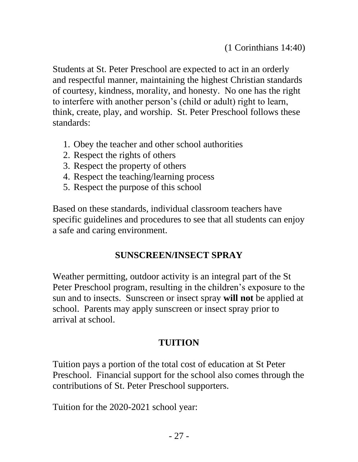Students at St. Peter Preschool are expected to act in an orderly and respectful manner, maintaining the highest Christian standards of courtesy, kindness, morality, and honesty. No one has the right to interfere with another person's (child or adult) right to learn, think, create, play, and worship. St. Peter Preschool follows these standards:

- 1. Obey the teacher and other school authorities
- 2. Respect the rights of others
- 3. Respect the property of others
- 4. Respect the teaching/learning process
- 5. Respect the purpose of this school

Based on these standards, individual classroom teachers have specific guidelines and procedures to see that all students can enjoy a safe and caring environment.

#### **SUNSCREEN/INSECT SPRAY**

<span id="page-27-0"></span>Weather permitting, outdoor activity is an integral part of the St Peter Preschool program, resulting in the children's exposure to the sun and to insects. Sunscreen or insect spray **will not** be applied at school. Parents may apply sunscreen or insect spray prior to arrival at school.

#### **TUITION**

Tuition pays a portion of the total cost of education at St Peter Preschool. Financial support for the school also comes through the contributions of St. Peter Preschool supporters.

Tuition for the 2020-2021 school year: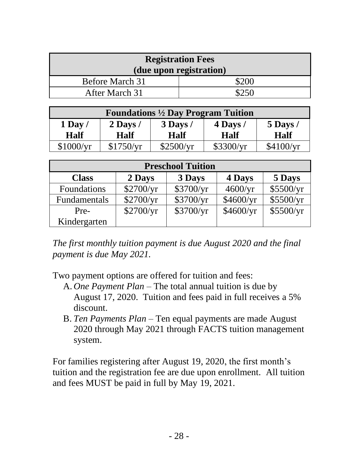| <b>Registration Fees</b><br>(due upon registration) |       |  |  |
|-----------------------------------------------------|-------|--|--|
| Before March 31                                     | \$200 |  |  |
| After March 31                                      | \$250 |  |  |

| Foundations $\frac{1}{2}$ Day Program Tuition |             |             |             |                                   |
|-----------------------------------------------|-------------|-------------|-------------|-----------------------------------|
| 1 Day                                         | $2$ Days /  | $3$ Days /  | $4$ Days /  | $5$ Days $\overline{\phantom{a}}$ |
| <b>Half</b>                                   | <b>Half</b> | <b>Half</b> | <b>Half</b> | <b>Half</b>                       |
| \$1000/yr                                     | \$1750/yr   | \$2500/yr   | \$3300/yr   | \$4100/yr                         |

| <b>Preschool Tuition</b> |           |           |           |           |
|--------------------------|-----------|-----------|-----------|-----------|
| <b>Class</b>             | 2 Days    | 3 Days    | 4 Days    | 5 Days    |
| Foundations              | \$2700/yr | \$3700/yr | 4600/yr   | \$5500/yr |
| Fundamentals             | \$2700/yr | \$3700/yr | \$4600/yr | \$5500/yr |
| Pre-                     | \$2700/yr | \$3700/yr | \$4600/yr | \$5500/yr |
| Kindergarten             |           |           |           |           |

*The first monthly tuition payment is due August 2020 and the final payment is due May 2021.*

Two payment options are offered for tuition and fees:

- A. *One Payment Plan* The total annual tuition is due by August 17, 2020. Tuition and fees paid in full receives a 5% discount.
- B. *Ten Payments Plan*  Ten equal payments are made August 2020 through May 2021 through FACTS tuition management system.

For families registering after August 19, 2020, the first month's tuition and the registration fee are due upon enrollment. All tuition and fees MUST be paid in full by May 19, 2021.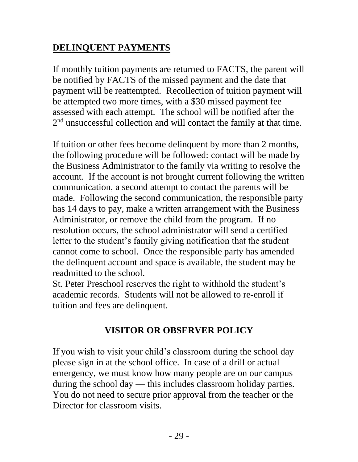## <span id="page-29-0"></span>**DELINQUENT PAYMENTS**

If monthly tuition payments are returned to FACTS, the parent will be notified by FACTS of the missed payment and the date that payment will be reattempted. Recollection of tuition payment will be attempted two more times, with a \$30 missed payment fee assessed with each attempt. The school will be notified after the 2<sup>nd</sup> unsuccessful collection and will contact the family at that time.

If tuition or other fees become delinquent by more than 2 months, the following procedure will be followed: contact will be made by the Business Administrator to the family via writing to resolve the account. If the account is not brought current following the written communication, a second attempt to contact the parents will be made. Following the second communication, the responsible party has 14 days to pay, make a written arrangement with the Business Administrator, or remove the child from the program. If no resolution occurs, the school administrator will send a certified letter to the student's family giving notification that the student cannot come to school. Once the responsible party has amended the delinquent account and space is available, the student may be readmitted to the school.

St. Peter Preschool reserves the right to withhold the student's academic records. Students will not be allowed to re-enroll if tuition and fees are delinquent.

### **VISITOR OR OBSERVER POLICY**

<span id="page-29-1"></span>If you wish to visit your child's classroom during the school day please sign in at the school office. In case of a drill or actual emergency, we must know how many people are on our campus during the school day — this includes classroom holiday parties. You do not need to secure prior approval from the teacher or the Director for classroom visits.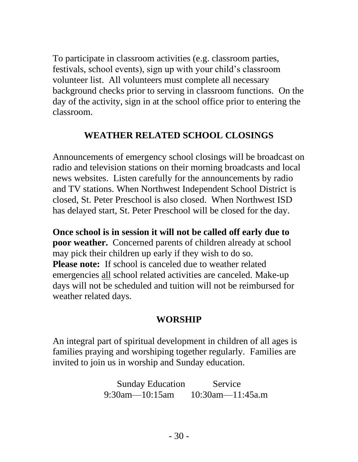To participate in classroom activities (e.g. classroom parties, festivals, school events), sign up with your child's classroom volunteer list. All volunteers must complete all necessary background checks prior to serving in classroom functions. On the day of the activity, sign in at the school office prior to entering the classroom.

#### **WEATHER RELATED SCHOOL CLOSINGS**

<span id="page-30-0"></span>Announcements of emergency school closings will be broadcast on radio and television stations on their morning broadcasts and local news websites. Listen carefully for the announcements by radio and TV stations. When Northwest Independent School District is closed, St. Peter Preschool is also closed. When Northwest ISD has delayed start, St. Peter Preschool will be closed for the day.

**Once school is in session it will not be called off early due to poor weather.** Concerned parents of children already at school may pick their children up early if they wish to do so. **Please note:** If school is canceled due to weather related emergencies all school related activities are canceled. Make-up days will not be scheduled and tuition will not be reimbursed for weather related days.

#### **WORSHIP**

<span id="page-30-1"></span>An integral part of spiritual development in children of all ages is families praying and worshiping together regularly. Families are invited to join us in worship and Sunday education.

> Sunday Education Service 9:30am—10:15am 10:30am—11:45a.m